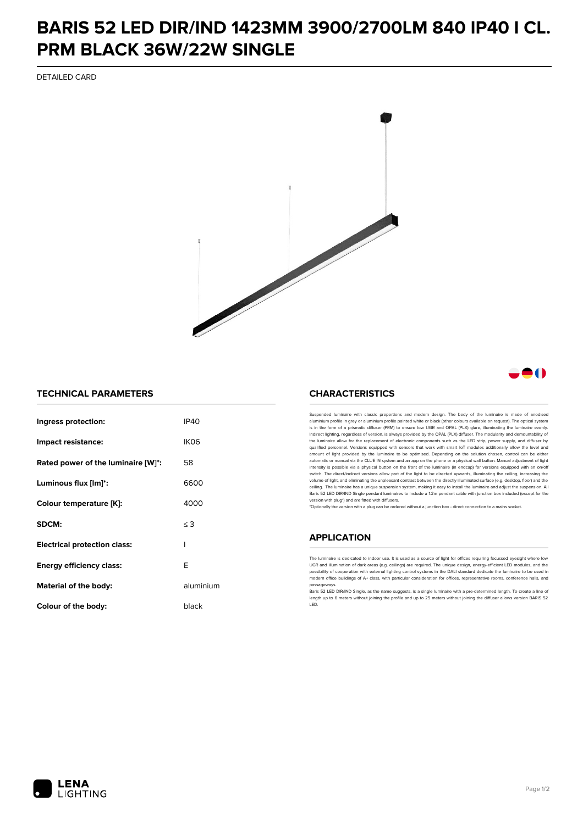## **BARIS 52 LED DIR/IND 1423MM 3900/2700LM 840 IP40 I CL. PRM BLACK 36W/22W SINGLE**

DETAILED CARD



### -0

#### **TECHNICAL PARAMETERS**

| Ingress protection:                 | IP40      |
|-------------------------------------|-----------|
| Impact resistance:                  | IKO6      |
| Rated power of the luminaire [W]*:  | 58        |
| Luminous flux [lm]*:                | 6600      |
| Colour temperature [K]:             | 4000      |
| SDCM:                               | $\leq$ 3  |
| <b>Electrical protection class:</b> | ı         |
| Energy efficiency class:            | F         |
| Material of the body:               | aluminium |
| Colour of the body:                 | black     |

#### **CHARACTERISTICS**

Suspended luminaire with classic proportions and modern design. The body of the luminaire is made of an aluminium profile in grey or aluminium profile painted white or black (other colours available on request). The optical system is in the form of a prismatic diffuser (PRM) to ensure low UGR and OPAL (PLX) glare, illuminating the luminaire evenly.<br>Indirect lighting, regardless of version, is always provided by the OPAL (PLX) diffuser. The modularit the luminaire allow for the replacement of electronic components such as the LED strip, power supply, and diffuser by qualified personnel. Versions equipped with sensors that work with smart IoT modules additionally allow the level and amount of light provided by the luminaire to be optimised. Depending on the solution chosen, control can be either automatic or manual via the CLUE IN system and an app on the phone or a physical wall button. Manual adjustment of light<br>intensity is possible via a physical button on the front of the luminaire (in endcap) for versions eq switch. The direct/indirect versions allow part of the light to be directed upwards, illuminating the ceiling, increasing the volume of light, and eliminating the unpleasant contrast between the directly illuminated surface (e.g. desktop, floor) and the ceiling. The luminaire has a unique suspension system, making it easy to install the luminaire and adjust the suspension. All Baris 52 LED DIR/IND Single pendant Iuminaires to include a 1.2m pendant cable with junction box included (except for the<br>version with plug\*) and are fitted with diffusers.

\*Optionally the version with a plug can be ordered without a junction box - direct connection to a mains socket.

#### **APPLICATION**

The luminaire is dedicated to indoor use. It is used as a source of light for offices requiring focussed eyesight where low UGR and illumination of dark areas (e.g. ceilings) are required. The unique design, energy-efficient LED modules, and the<br>possibility of cooperation with external lighting control systems in the DALI standard dedicate the modern office buildings of A+ class, with particular consideration for offices, representative rooms, conference halls, and passage

.<br>Baris 52 LED DIR/IND Single, as the name suggests, is a single luminaire with a pre-determined length. To create a line of length up to 6 meters without joining the profile and up to 25 meters without joining the diffuser allows version BARIS 52 LED.